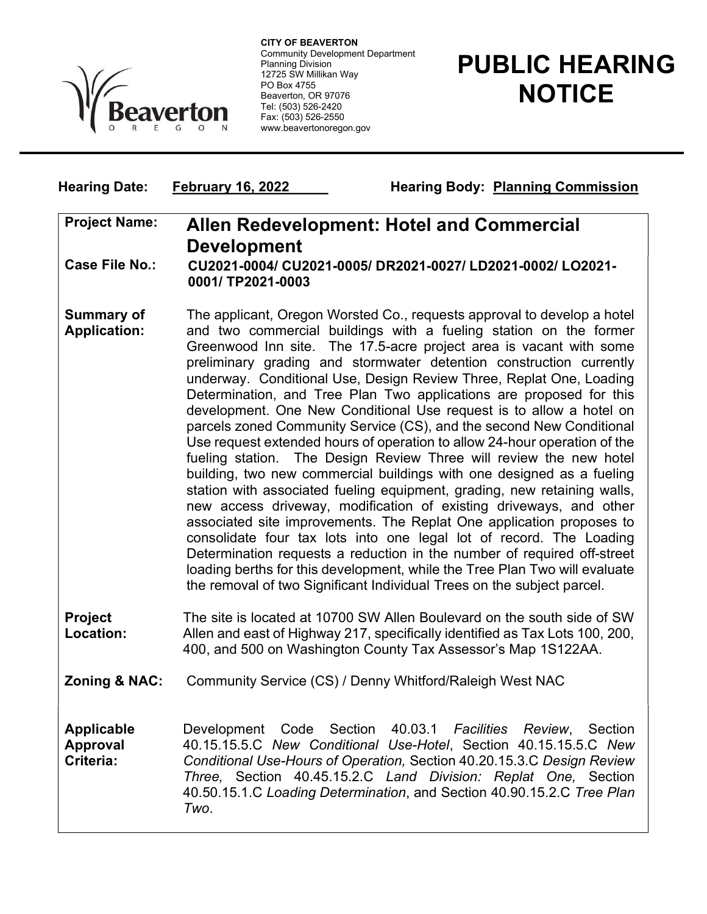

 Community Development Department CITY OF BEAVERTON Planning Division 12725 SW Millikan Way PO Box 4755 Beaverton, OR 97076 Tel: (503) 526-2420 Fax: (503) 526-2550 www.beavertonoregon.gov

Hearing Date: February 16, 2022 Hearing Body: Planning Commission

## PUBLIC HEARING **NOTICE**

| <b>Project Name:</b>                              | <b>Allen Redevelopment: Hotel and Commercial</b><br><b>Development</b>                                                                                                                                                                                                                                                                                                                                                                                                                                                                                                                                                                                                                                                                                                                                                                                                                                                                                                                                                                                                                                                                                                                                                                                                                                                                                 |
|---------------------------------------------------|--------------------------------------------------------------------------------------------------------------------------------------------------------------------------------------------------------------------------------------------------------------------------------------------------------------------------------------------------------------------------------------------------------------------------------------------------------------------------------------------------------------------------------------------------------------------------------------------------------------------------------------------------------------------------------------------------------------------------------------------------------------------------------------------------------------------------------------------------------------------------------------------------------------------------------------------------------------------------------------------------------------------------------------------------------------------------------------------------------------------------------------------------------------------------------------------------------------------------------------------------------------------------------------------------------------------------------------------------------|
| <b>Case File No.:</b>                             | CU2021-0004/ CU2021-0005/ DR2021-0027/ LD2021-0002/ LO2021-<br>0001/TP2021-0003                                                                                                                                                                                                                                                                                                                                                                                                                                                                                                                                                                                                                                                                                                                                                                                                                                                                                                                                                                                                                                                                                                                                                                                                                                                                        |
| <b>Summary of</b><br><b>Application:</b>          | The applicant, Oregon Worsted Co., requests approval to develop a hotel<br>and two commercial buildings with a fueling station on the former<br>Greenwood Inn site. The 17.5-acre project area is vacant with some<br>preliminary grading and stormwater detention construction currently<br>underway. Conditional Use, Design Review Three, Replat One, Loading<br>Determination, and Tree Plan Two applications are proposed for this<br>development. One New Conditional Use request is to allow a hotel on<br>parcels zoned Community Service (CS), and the second New Conditional<br>Use request extended hours of operation to allow 24-hour operation of the<br>fueling station. The Design Review Three will review the new hotel<br>building, two new commercial buildings with one designed as a fueling<br>station with associated fueling equipment, grading, new retaining walls,<br>new access driveway, modification of existing driveways, and other<br>associated site improvements. The Replat One application proposes to<br>consolidate four tax lots into one legal lot of record. The Loading<br>Determination requests a reduction in the number of required off-street<br>loading berths for this development, while the Tree Plan Two will evaluate<br>the removal of two Significant Individual Trees on the subject parcel. |
| Project<br>Location:                              | The site is located at 10700 SW Allen Boulevard on the south side of SW<br>Allen and east of Highway 217, specifically identified as Tax Lots 100, 200,<br>400, and 500 on Washington County Tax Assessor's Map 1S122AA.                                                                                                                                                                                                                                                                                                                                                                                                                                                                                                                                                                                                                                                                                                                                                                                                                                                                                                                                                                                                                                                                                                                               |
| <b>Zoning &amp; NAC:</b>                          | Community Service (CS) / Denny Whitford/Raleigh West NAC                                                                                                                                                                                                                                                                                                                                                                                                                                                                                                                                                                                                                                                                                                                                                                                                                                                                                                                                                                                                                                                                                                                                                                                                                                                                                               |
| <b>Applicable</b><br><b>Approval</b><br>Criteria: | Code<br>Section<br>40.03.1<br><b>Facilities</b><br>Section<br>Development<br>Review,<br>40.15.15.5.C New Conditional Use-Hotel, Section 40.15.15.5.C New<br>Conditional Use-Hours of Operation, Section 40.20.15.3.C Design Review<br>Three, Section 40.45.15.2.C Land Division: Replat One, Section<br>40.50.15.1.C Loading Determination, and Section 40.90.15.2.C Tree Plan<br>Two.                                                                                                                                                                                                                                                                                                                                                                                                                                                                                                                                                                                                                                                                                                                                                                                                                                                                                                                                                                 |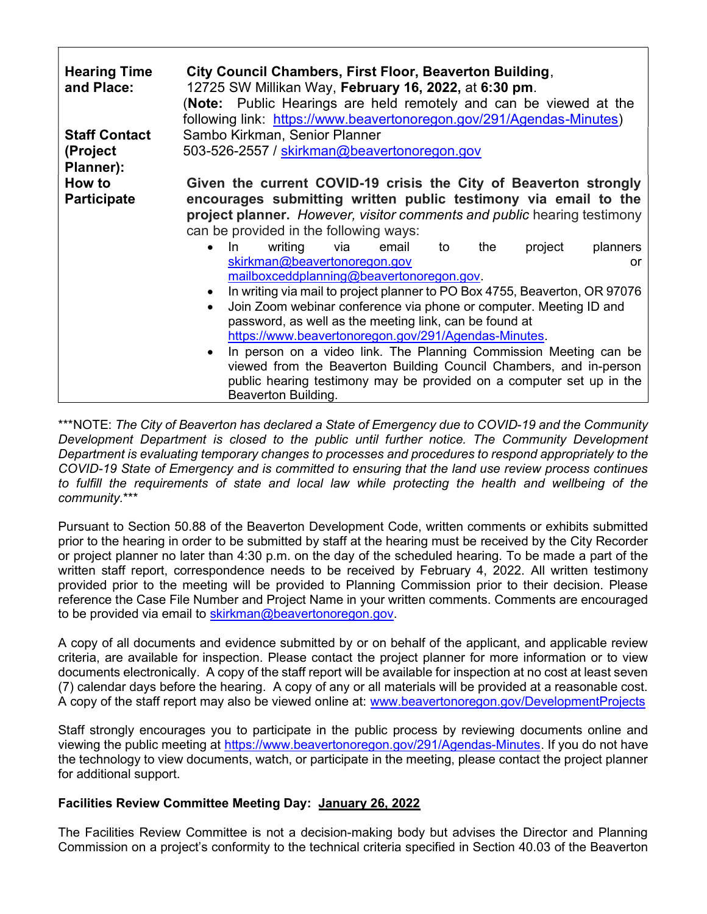| <b>Hearing Time</b><br>and Place: | City Council Chambers, First Floor, Beaverton Building,<br>12725 SW Millikan Way, February 16, 2022, at 6:30 pm.<br>(Note: Public Hearings are held remotely and can be viewed at the<br>following link: https://www.beavertonoregon.gov/291/Agendas-Minutes)                   |
|-----------------------------------|---------------------------------------------------------------------------------------------------------------------------------------------------------------------------------------------------------------------------------------------------------------------------------|
| <b>Staff Contact</b>              | Sambo Kirkman, Senior Planner                                                                                                                                                                                                                                                   |
| (Project<br>Planner):             | 503-526-2557 / skirkman@beavertonoregon.gov                                                                                                                                                                                                                                     |
| How to                            | Given the current COVID-19 crisis the City of Beaverton strongly                                                                                                                                                                                                                |
| <b>Participate</b>                | encourages submitting written public testimony via email to the<br>project planner. However, visitor comments and public hearing testimony<br>can be provided in the following ways:                                                                                            |
|                                   | In<br>writing<br>via<br>project<br>planners<br>email<br>the<br>to<br>$\bullet$<br>skirkman@beavertonoregon.gov<br>or<br>mailboxceddplanning@beavertonoregon.gov.                                                                                                                |
|                                   | In writing via mail to project planner to PO Box 4755, Beaverton, OR 97076<br>Join Zoom webinar conference via phone or computer. Meeting ID and<br>$\bullet$<br>password, as well as the meeting link, can be found at<br>https://www.beavertonoregon.gov/291/Agendas-Minutes. |
|                                   | In person on a video link. The Planning Commission Meeting can be<br>viewed from the Beaverton Building Council Chambers, and in-person<br>public hearing testimony may be provided on a computer set up in the<br>Beaverton Building.                                          |

\*\*\*NOTE: The City of Beaverton has declared a State of Emergency due to COVID-19 and the Community Development Department is closed to the public until further notice. The Community Development Department is evaluating temporary changes to processes and procedures to respond appropriately to the COVID-19 State of Emergency and is committed to ensuring that the land use review process continues to fulfill the requirements of state and local law while protecting the health and wellbeing of the community.\*\*\*

Pursuant to Section 50.88 of the Beaverton Development Code, written comments or exhibits submitted prior to the hearing in order to be submitted by staff at the hearing must be received by the City Recorder or project planner no later than 4:30 p.m. on the day of the scheduled hearing. To be made a part of the written staff report, correspondence needs to be received by February 4, 2022. All written testimony provided prior to the meeting will be provided to Planning Commission prior to their decision. Please reference the Case File Number and Project Name in your written comments. Comments are encouraged to be provided via email to skirkman@beavertonoregon.gov.

A copy of all documents and evidence submitted by or on behalf of the applicant, and applicable review criteria, are available for inspection. Please contact the project planner for more information or to view documents electronically. A copy of the staff report will be available for inspection at no cost at least seven (7) calendar days before the hearing. A copy of any or all materials will be provided at a reasonable cost. A copy of the staff report may also be viewed online at: www.beavertonoregon.gov/DevelopmentProjects

Staff strongly encourages you to participate in the public process by reviewing documents online and viewing the public meeting at https://www.beavertonoregon.gov/291/Agendas-Minutes. If you do not have the technology to view documents, watch, or participate in the meeting, please contact the project planner for additional support.

## Facilities Review Committee Meeting Day: January 26, 2022

The Facilities Review Committee is not a decision-making body but advises the Director and Planning Commission on a project's conformity to the technical criteria specified in Section 40.03 of the Beaverton